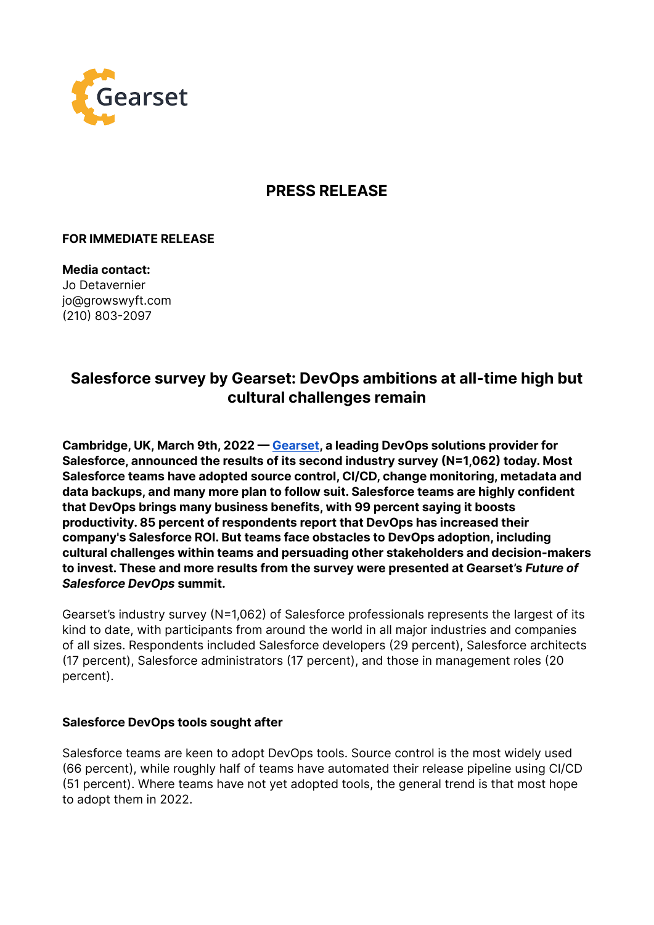

## **PRESS RELEASE**

## **FOR IMMEDIATE RELEASE**

**Media contact:** Jo Detavernier jo@growswyft.com (210) 803-2097

# **Salesforce survey by Gearset: DevOps ambitions at all-time high but cultural challenges remain**

**Cambridge, UK, March 9th, 2022 — [Gearset,](https://gearset.com/) a leading DevOps solutions provider for Salesforce, announced the results of its second industry survey (N=1,062) today. Most Salesforce teams have adopted source control, CI/CD, change monitoring, metadata and data backups, and many more plan to follow suit. Salesforce teams are highly confident that DevOps brings many business benefits, with 99 percent saying it boosts productivity. 85 percent of respondents report that DevOps has increased their company's Salesforce ROI. But teams face obstacles to DevOps adoption, including cultural challenges within teams and persuading other stakeholders and decision-makers to invest. These and more results from the survey were presented at Gearset's** *Future of Salesforce DevOps* **summit.**

Gearset's industry survey (N=1,062) of Salesforce professionals represents the largest of its kind to date, with participants from around the world in all major industries and companies of all sizes. Respondents included Salesforce developers (29 percent), Salesforce architects (17 percent), Salesforce administrators (17 percent), and those in management roles (20 percent).

#### **Salesforce DevOps tools sought after**

Salesforce teams are keen to adopt DevOps tools. Source control is the most widely used (66 percent), while roughly half of teams have automated their release pipeline using CI/CD (51 percent). Where teams have not yet adopted tools, the general trend is that most hope to adopt them in 2022.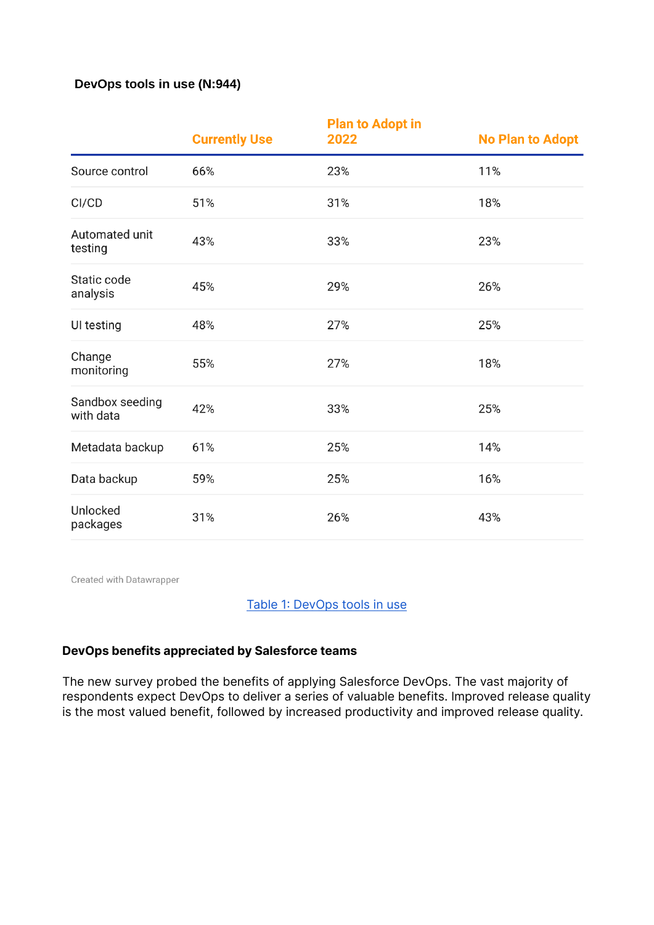## DevOps tools in use (N:944)

|                              | <b>Currently Use</b> | <b>Plan to Adopt in</b><br>2022 | <b>No Plan to Adopt</b> |
|------------------------------|----------------------|---------------------------------|-------------------------|
| Source control               | 66%                  | 23%                             | 11%                     |
| CI/CD                        | 51%                  | 31%                             | 18%                     |
| Automated unit<br>testing    | 43%                  | 33%                             | 23%                     |
| Static code<br>analysis      | 45%                  | 29%                             | 26%                     |
| UI testing                   | 48%                  | 27%                             | 25%                     |
| Change<br>monitoring         | 55%                  | 27%                             | 18%                     |
| Sandbox seeding<br>with data | 42%                  | 33%                             | 25%                     |
| Metadata backup              | 61%                  | 25%                             | 14%                     |
| Data backup                  | 59%                  | 25%                             | 16%                     |
| Unlocked<br>packages         | 31%                  | 26%                             | 43%                     |

Created with Datawrapper

## [Table 1: DevOps tools in use](https://www.datawrapper.de/_/4ZWtH/)

## **DevOps benefits appreciated by Salesforce teams**

The new survey probed the benefits of applying Salesforce DevOps. The vast majority of respondents expect DevOps to deliver a series of valuable benefits. Improved release quality is the most valued benefit, followed by increased productivity and improved release quality.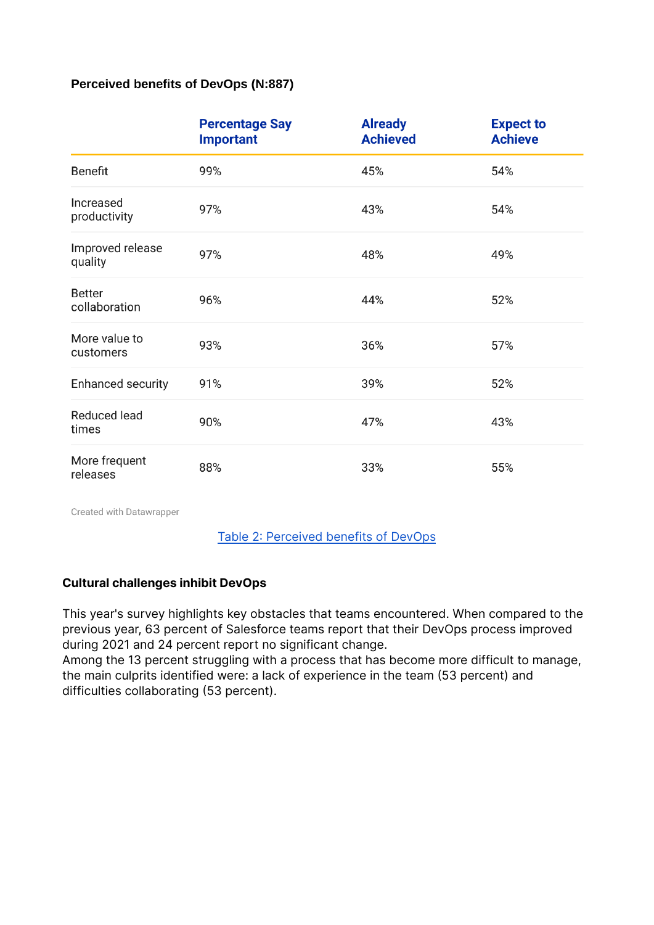## Perceived benefits of DevOps (N:887)

|                                | <b>Percentage Say</b><br><b>Important</b> | <b>Already</b><br><b>Achieved</b> | <b>Expect to</b><br><b>Achieve</b> |
|--------------------------------|-------------------------------------------|-----------------------------------|------------------------------------|
| Benefit                        | 99%                                       | 45%                               | 54%                                |
| Increased<br>productivity      | 97%                                       | 43%                               | 54%                                |
| Improved release<br>quality    | 97%                                       | 48%                               | 49%                                |
| <b>Better</b><br>collaboration | 96%                                       | 44%                               | 52%                                |
| More value to<br>customers     | 93%                                       | 36%                               | 57%                                |
| <b>Enhanced security</b>       | 91%                                       | 39%                               | 52%                                |
| <b>Reduced lead</b><br>times   | 90%                                       | 47%                               | 43%                                |
| More frequent<br>releases      | 88%                                       | 33%                               | 55%                                |

Created with Datawrapper

[Table 2: Perceived benefits of DevOps](https://www.datawrapper.de/_/Azfa0/)

## **Cultural challenges inhibit DevOps**

This year's survey highlights key obstacles that teams encountered. When compared to the previous year, 63 percent of Salesforce teams report that their DevOps process improved during 2021 and 24 percent report no significant change.

Among the 13 percent struggling with a process that has become more difficult to manage, the main culprits identified were: a lack of experience in the team (53 percent) and difficulties collaborating (53 percent).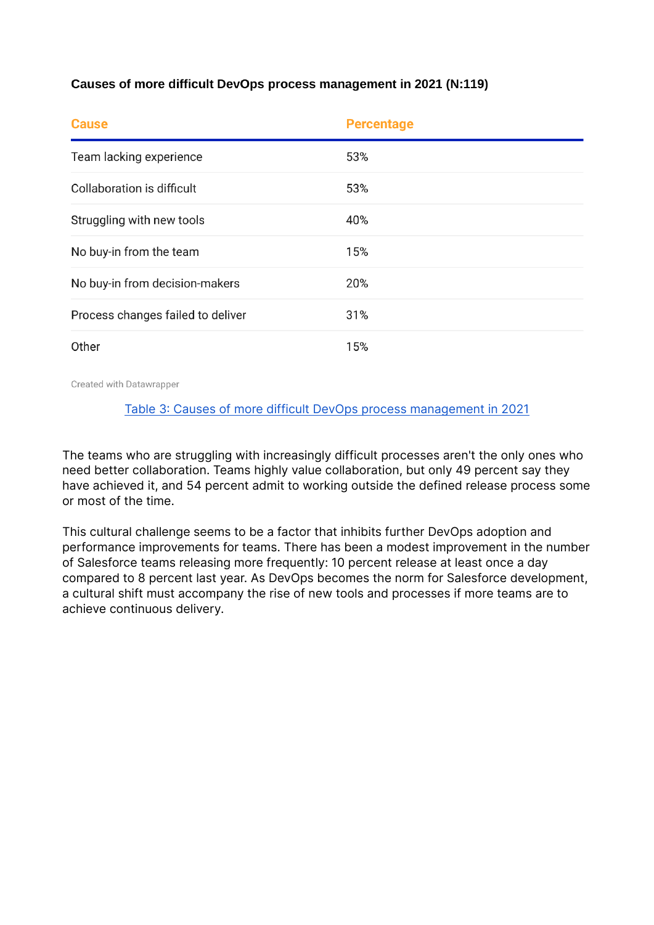## Causes of more difficult DevOps process management in 2021 (N:119)

| <b>Cause</b>                      | <b>Percentage</b> |
|-----------------------------------|-------------------|
| Team lacking experience           | 53%               |
| Collaboration is difficult        | 53%               |
| Struggling with new tools         | 40%               |
| No buy-in from the team           | 15%               |
| No buy-in from decision-makers    | 20%               |
| Process changes failed to deliver | 31%               |
| Other                             | 15%               |

Created with Datawrapper

#### [Table 3: Causes of more difficult DevOps process management in 2021](https://www.datawrapper.de/_/5odzE/)

The teams who are struggling with increasingly difficult processes aren't the only ones who need better collaboration. Teams highly value collaboration, but only 49 percent say they have achieved it, and 54 percent admit to working outside the defined release process some or most of the time.

This cultural challenge seems to be a factor that inhibits further DevOps adoption and performance improvements for teams. There has been a modest improvement in the number of Salesforce teams releasing more frequently: 10 percent release at least once a day compared to 8 percent last year. As DevOps becomes the norm for Salesforce development, a cultural shift must accompany the rise of new tools and processes if more teams are to achieve continuous delivery.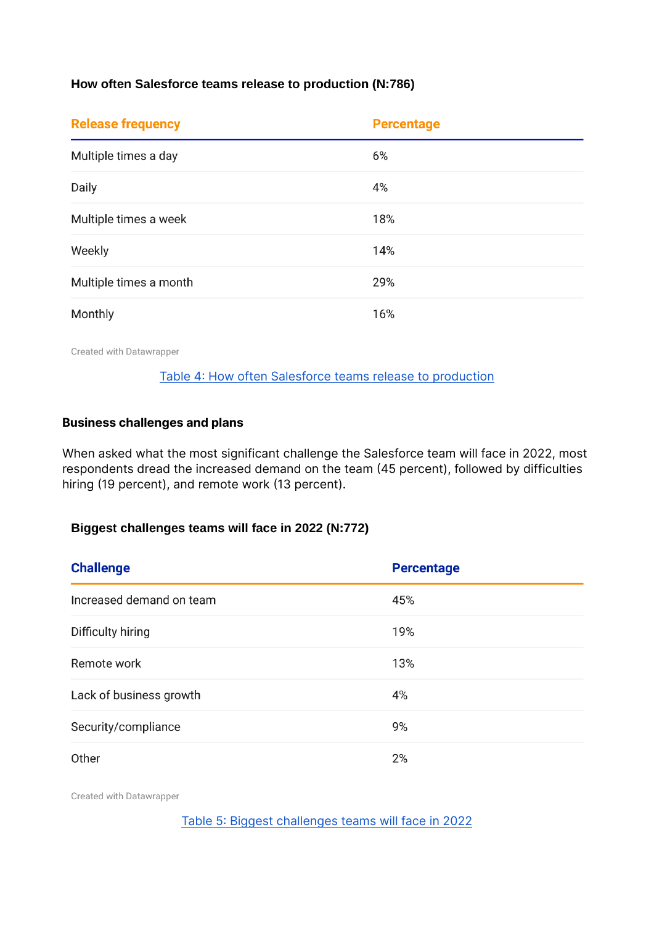## How often Salesforce teams release to production (N:786)

| <b>Release frequency</b> | <b>Percentage</b> |  |
|--------------------------|-------------------|--|
| Multiple times a day     | 6%                |  |
| Daily                    | 4%                |  |
| Multiple times a week    | 18%               |  |
| Weekly                   | 14%               |  |
| Multiple times a month   | 29%               |  |
| Monthly                  | 16%               |  |

Created with Datawrapper

#### [Table 4: How often Salesforce teams release to production](https://www.datawrapper.de/_/1rZ1Z/)

#### **Business challenges and plans**

When asked what the most significant challenge the Salesforce team will face in 2022, most respondents dread the increased demand on the team (45 percent), followed by difficulties hiring (19 percent), and remote work (13 percent).

## Biggest challenges teams will face in 2022 (N:772)

| <b>Challenge</b>         | <b>Percentage</b> |  |
|--------------------------|-------------------|--|
| Increased demand on team | 45%               |  |
| Difficulty hiring        | 19%               |  |
| Remote work              | 13%               |  |
| Lack of business growth  | 4%                |  |
| Security/compliance      | 9%                |  |
| Other                    | 2%                |  |

Created with Datawrapper

[Table 5: Biggest challenges teams will face in 2022](https://www.datawrapper.de/_/adL7Q/)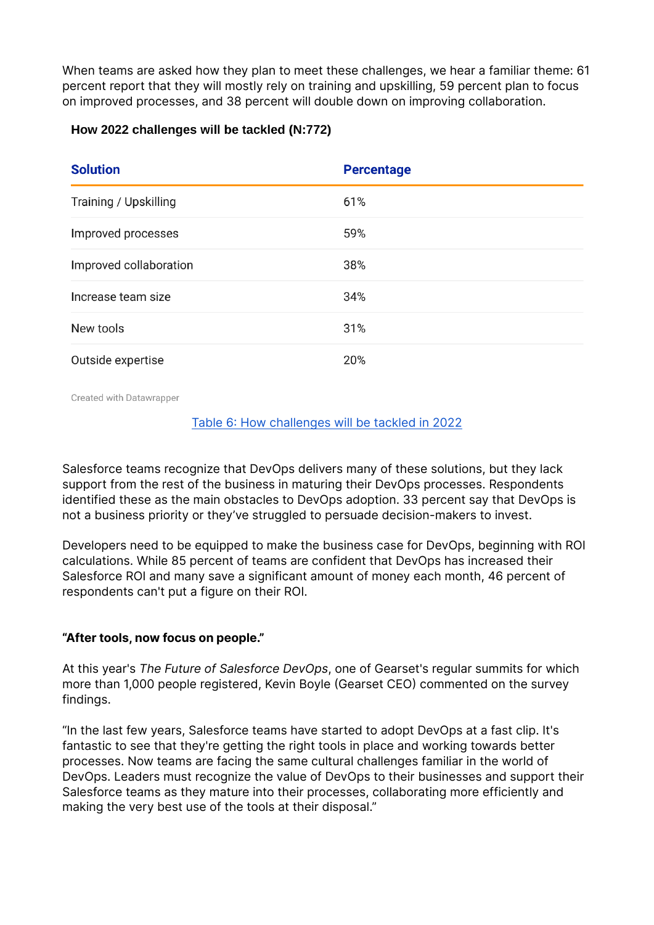When teams are asked how they plan to meet these challenges, we hear a familiar theme: 61 percent report that they will mostly rely on training and upskilling, 59 percent plan to focus on improved processes, and 38 percent will double down on improving collaboration.

## How 2022 challenges will be tackled (N:772)

| <b>Solution</b>        | <b>Percentage</b> |
|------------------------|-------------------|
| Training / Upskilling  | 61%               |
| Improved processes     | 59%               |
| Improved collaboration | 38%               |
| Increase team size     | 34%               |
| New tools              | 31%               |
| Outside expertise      | 20%               |

Created with Datawrapper

#### [Table 6: How challenges will be tackled in 2022](https://www.datawrapper.de/_/rbCKF/)

Salesforce teams recognize that DevOps delivers many of these solutions, but they lack support from the rest of the business in maturing their DevOps processes. Respondents identified these as the main obstacles to DevOps adoption. 33 percent say that DevOps is not a business priority or they've struggled to persuade decision-makers to invest.

Developers need to be equipped to make the business case for DevOps, beginning with ROI calculations. While 85 percent of teams are confident that DevOps has increased their Salesforce ROI and many save a significant amount of money each month, 46 percent of respondents can't put a figure on their ROI.

## **"After tools, now focus on people."**

At this year's *The Future of Salesforce DevOps*, one of Gearset's regular summits for which more than 1,000 people registered, Kevin Boyle (Gearset CEO) commented on the survey findings.

"In the last few years, Salesforce teams have started to adopt DevOps at a fast clip. It's fantastic to see that they're getting the right tools in place and working towards better processes. Now teams are facing the same cultural challenges familiar in the world of DevOps. Leaders must recognize the value of DevOps to their businesses and support their Salesforce teams as they mature into their processes, collaborating more efficiently and making the very best use of the tools at their disposal."